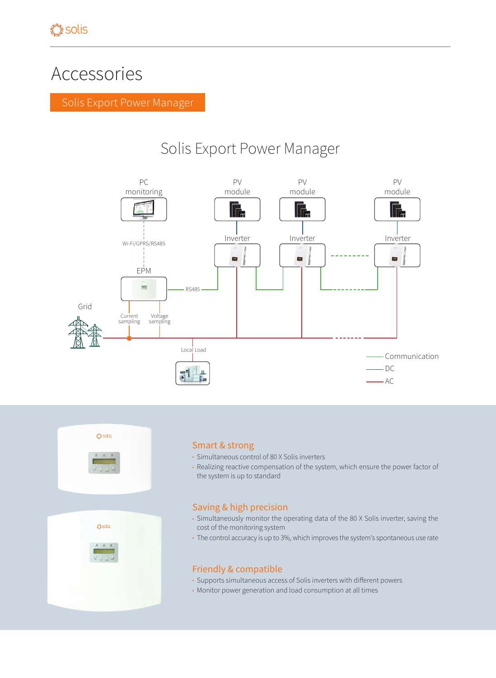# Accessories

Solis Export Power Manager

# Solis Export Power Manager







### Smart & strong

- Simultaneous control of 80 X Solis inverters
- Realizing reactive compensation of the system, which ensure the power factor of the system is up to standard

# Saving & high precision

- Simultaneously monitor the operating data of the 80 X Solis inverter, saving the cost of the monitoring system
- The control accuracy is up to 3%, which improves the system's spontaneous use rate

# Friendly & compatible

- Supports simultaneous access of Solis inverters with different powers
- Monitor power generation and load consumption at all times